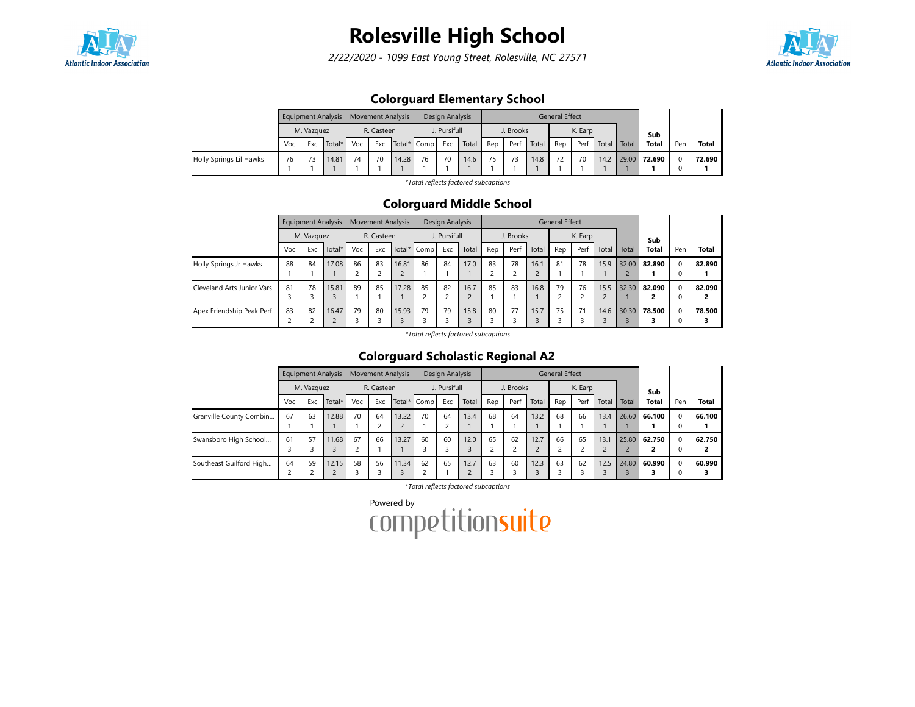

2/22/2020 - 1099 East Young Street, Rolesville, NC 27571



### Colorguard Elementary School

|                         |     |            | Equipment Analysis   Movement Analysis |     |            |             |    | Design Analysis |       |     |           |       | <b>General Effect</b> |         |       |       |              |     |              |
|-------------------------|-----|------------|----------------------------------------|-----|------------|-------------|----|-----------------|-------|-----|-----------|-------|-----------------------|---------|-------|-------|--------------|-----|--------------|
|                         |     | M. Vazguez |                                        |     | R. Casteen |             |    | J. Pursifull    |       |     | J. Brooks |       |                       | K. Earp |       |       | Sub          |     |              |
|                         | Voc | Exc        | Total*                                 | Voc | Exc        | Total* Comp |    | Exc             | Total | Rep | Perf      | Total | Rep                   | Perf    | Total | Total | <b>Total</b> | Per | <b>Total</b> |
| Holly Springs Lil Hawks | 76  |            | 14.81                                  | 74  | 70         | 14.28       | 76 | 70              | 14.6  | 75  | 73        | 14.8  | 72                    | 70      | 14.2  |       | 29.00 72.690 |     | 72.690       |
|                         |     |            |                                        |     |            |             |    |                 |       |     |           |       |                       |         |       |       |              |     |              |

\*Total reflects factored subcaptions

#### Colorguard Middle School

|                            |     | <b>Equipment Analysis</b> |        |     | <b>Movement Analysis</b> |       |             | Design Analysis |       |     |           |            | General Effect |         |       |       |        |             |              |
|----------------------------|-----|---------------------------|--------|-----|--------------------------|-------|-------------|-----------------|-------|-----|-----------|------------|----------------|---------|-------|-------|--------|-------------|--------------|
|                            |     | M. Vazquez                |        |     | R. Casteen               |       |             | J. Pursifull    |       |     | J. Brooks |            |                | K. Earp |       |       | Sub    |             |              |
|                            | Voc | Exc                       | Total* | Voc | Exc                      |       | Total* Comp | Exc             | Total | Rep | Perf      | Total      | Rep            | Perf    | Total | Total | Total  | Pen         | <b>Total</b> |
| Holly Springs Jr Hawks     | 88  | 84                        | 17.08  | 86  | 83                       | 16.81 | 86          | 84              | 17.0  | 83  | 78        | 16.1       | 81             | 78      | 15.9  | 32.00 | 82.890 | $\mathbf 0$ | 82.890       |
|                            |     |                           |        |     |                          |       |             |                 |       |     |           | $\epsilon$ |                |         |       |       |        | 0           |              |
| Cleveland Arts Junior Vars | 81  | 78                        | 15.81  | 89  | 85                       | 17.28 | 85          | 82              | 16.7  | 85  | 83        | 16.8       | 79             | 76      | 15.5  | 32.30 | 82.090 | $\Omega$    | 82.090       |
|                            |     |                           | 3      |     |                          |       |             |                 |       |     |           |            |                |         |       |       |        | $\mathbf 0$ |              |
| Apex Friendship Peak Perf  | 83  | 82                        | 16.47  | 79  | 80                       | 15.93 | 79          | 79              | 15.8  | 80  | 77        | 15.7       | 75             | 71      | 14.6  | 30.30 | 78.500 | $\mathbf 0$ | 78.500       |
|                            |     |                           | $\sim$ |     |                          |       |             |                 |       |     |           |            |                |         |       |       |        | $\mathbf 0$ |              |

\*Total reflects factored subcaptions

### Colorguard Scholastic Regional A2

|                         |                                | <b>Equipment Analysis</b> |        |     |            | <b>Movement Analysis</b> |             | Design Analysis      |       |     |           |       | <b>General Effect</b> |         |       |       |              |          |              |
|-------------------------|--------------------------------|---------------------------|--------|-----|------------|--------------------------|-------------|----------------------|-------|-----|-----------|-------|-----------------------|---------|-------|-------|--------------|----------|--------------|
|                         |                                | M. Vazquez                |        |     | R. Casteen |                          |             | J. Pursifull         |       |     | J. Brooks |       |                       | K. Earp |       |       | Sub          |          |              |
|                         | Voc                            | Exc                       | Total* | Voc | Exc        |                          | Total* Comp | Exc                  | Total | Rep | Perf      | Total | Rep                   | Perf    | Total | Total | <b>Total</b> | Pen      | <b>Total</b> |
| Granville County Combin | 67                             | 63                        | 12.88  | 70  | 64         | 13.22                    | 70          | 64<br>$\overline{ }$ | 13.4  | 68  | 64        | 13.2  | 68                    | 66      | 13.4  |       | 26.60 66.100 | $\Omega$ | 66.100       |
| Swansboro High School   | 61                             | 57                        | 11.68  | 67  | 66         | 13.27                    | 60          | 60                   | 12.0  | 65  | 62        | 12.7  | 66                    | 65      | 13.1  | 25.80 | 62.750       | $\Omega$ | 62.750       |
| Southeast Guilford High | 64<br>$\overline{\phantom{0}}$ | 59                        | 12.15  | 58  | 56         | 11.34                    | 62          | 65                   | 12.7  | 63  | 60        | 12.3  | 63                    | 62      | 12.5  | 24.80 | 60.990       | $\Omega$ | 60.990       |

\*Total reflects factored subcaptions

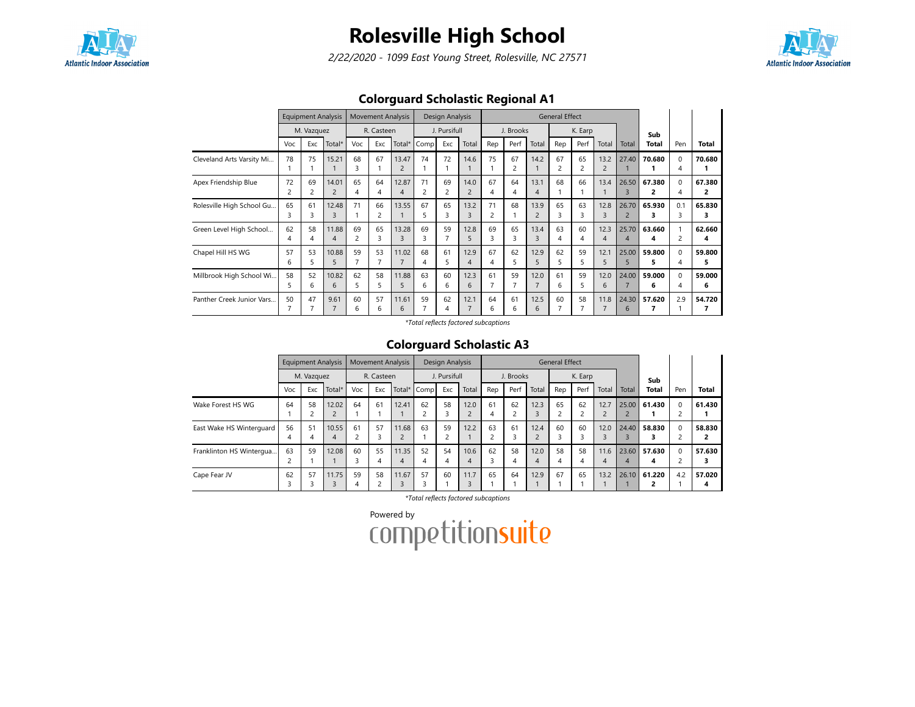

2/22/2020 - 1099 East Young Street, Rolesville, NC 27571



### Colorguard Scholastic Regional A1

|                           |                      | <b>Equipment Analysis</b><br>M. Vazquez |                         |         | <b>Movement Analysis</b> |                         |         | Design Analysis |           |         |           |                        | <b>General Effect</b> |         |            |                         |              |                                |             |
|---------------------------|----------------------|-----------------------------------------|-------------------------|---------|--------------------------|-------------------------|---------|-----------------|-----------|---------|-----------|------------------------|-----------------------|---------|------------|-------------------------|--------------|--------------------------------|-------------|
|                           |                      |                                         |                         |         | R. Casteen               |                         |         | J. Pursifull    |           |         | J. Brooks |                        |                       | K. Earp |            |                         | Sub          |                                |             |
|                           | Voc                  | Exc                                     | Total*                  | Voc     | Exc                      | Total*                  | Comp    | Exc             | Total     | Rep     | Perf      | Total                  | Rep                   | Perf    | Total      | Total                   | Total        | Pen                            | Total       |
| Cleveland Arts Varsity Mi | 78                   | 75                                      | 15.21                   | 68<br>3 | 67                       | 13.47<br>2              | 74      | 72              | 14.6      | 75      | 67<br>2   | 14.2                   | 67                    | 65<br>2 | 13.2<br>2  | 27.40                   | 70.680       | $\Omega$<br>4                  | 70.680      |
| Apex Friendship Blue      | 72<br>$\overline{c}$ | 69                                      | 14.01<br>$\overline{2}$ | 65<br>4 | 64<br>4                  | 12.87<br>$\overline{4}$ | 71      | 69              | 14.0<br>2 | 67<br>4 | 64<br>4   | 13.1<br>$\overline{4}$ | 68                    | 66      | 13.4       | 26.50<br>3              | 67.380<br>2  | 0<br>4                         | 67.380<br>2 |
| Rolesville High School Gu | 65<br>3              | 61<br>3                                 | 12.48<br>3              | 71      | 66<br>2                  | 13.55                   | 67<br>5 | 65              | 13.2<br>3 | 71<br>2 | 68        | 13.9<br>$\overline{2}$ | 65<br>ς               | 63<br>3 | 12.8<br>3  | 26.70<br>$\overline{2}$ | 65.930<br>з  | 0.1<br>3                       | 65.830<br>3 |
| Green Level High School   | 62                   | 58                                      | 11.88<br>4              | 69<br>2 | 65<br>3                  | 13.28<br>3              | 69<br>3 | 59              | 12.8<br>5 | 69<br>3 | 65<br>3   | 13.4<br>3              | 63<br>4               | 60<br>4 | 12.3<br>4  | 25.70<br>4              | 63.660<br>4  | $\mathbf{1}$<br>$\overline{c}$ | 62.660<br>4 |
| Chapel Hill HS WG         | 57<br>6              | 53                                      | 10.88<br>5              | 59      | 53                       | 11.02                   | 68<br>4 | 61<br>5         | 12.9<br>4 | 67<br>4 | 62<br>5   | 12.9<br>5              | 62<br>5               | 59<br>5 | 12.1<br>5. | 25.00<br>5              | 59.800<br>5. | 0<br>4                         | 59.800<br>5 |
| Millbrook High School Wi  | 58<br>5              | 52<br>6                                 | 10.82<br>6              | 62<br>5 | 58<br>5.                 | 11.88<br>5              | 63<br>6 | 60<br>6         | 12.3<br>6 | 61<br>7 | 59        | 12.0<br>$\overline{7}$ | 61<br>6               | 59<br>5 | 12.0<br>6  | 24.00                   | 59.000<br>6  | 0<br>4                         | 59.000<br>6 |
| Panther Creek Junior Vars | 50                   | 47                                      | 9.61                    | 60<br>6 | 57<br>6                  | 11.61<br>6              | 59      | 62<br>4         | 12.1      | 64<br>6 | 61<br>6   | 12.5<br>6              | 60                    | 58      | 11.8       | 24.30<br>6              | 57.620       | 2.9                            | 54.720      |

\*Total reflects factored subcaptions

#### Colorguard Scholastic A3

|                          |     |            | <b>Equipment Analysis</b> |     | <b>Movement Analysis</b> |       |             | Design Analysis |           |     |           |       | <b>General Effect</b>    |         |                |                  |              |          |              |
|--------------------------|-----|------------|---------------------------|-----|--------------------------|-------|-------------|-----------------|-----------|-----|-----------|-------|--------------------------|---------|----------------|------------------|--------------|----------|--------------|
|                          |     | M. Vazquez |                           |     | R. Casteen               |       |             | J. Pursifull    |           |     | J. Brooks |       |                          | K. Earp |                |                  | Sub          |          |              |
|                          | Voc | Exc        | Total*                    | Voc | Exc                      |       | Total* Comp | Exc             | Total     | Rep | Perf      | Total | Rep                      | Perf    | Total          | Total            | <b>Total</b> | Pen      | <b>Total</b> |
| Wake Forest HS WG        | 64  | 58         | 12.02                     | 64  | 61                       | 12.41 | 62          | 58              | 12.0      | 61  | 62        | 12.3  | 65                       | 62      | 12.7           | 25.00            | 61.430       | $\Omega$ | 61.430       |
|                          |     |            | $\mathcal{L}$             |     |                          |       | $\sim$      | 3               | $\bigcap$ | 4   |           |       | $\overline{\phantom{0}}$ |         | $\overline{2}$ |                  |              |          |              |
| East Wake HS Winterguard | 56  | 51         | 10.55                     | 61  | 57                       | 11.68 | 63          | 59              | 12.2      | 63  | 61        | 12.4  | 60                       | 60      | 12.0           | 24.40            | 58.830       | $\Omega$ | 58.830       |
|                          | 4   |            | 4                         |     | 3                        |       |             | 2               |           |     |           |       | 3                        |         | 3              |                  |              |          |              |
| Franklinton HS Wintergua | 63  | 59         | 12.08                     | 60  | 55                       | 11.35 | 52          | 54              | 10.6      | 62  | 58        | 12.0  | 58                       | 58      | 11.6           | 23.60            | 57.630       | $\Omega$ | 57.630       |
|                          |     |            |                           |     | 4                        | 4     | 4           | $\overline{4}$  | 4         |     |           | 4     | 4                        | 4       | 4              | $\boldsymbol{A}$ | 4            |          |              |
| Cape Fear JV             | 62  | 57         | 11.75                     | 59  | 58                       | 11.67 | 57          | 60              | 11.7      | 65  | 64        | 12.9  | 67                       | 65      | 13.2           | 26.10            | 61.220       | 4.2      | 57.020       |
|                          | 3   |            | 3                         | 4   |                          |       |             |                 |           |     |           |       |                          |         |                |                  |              |          | 4            |

\*Total reflects factored subcaptions

Powered by<br>COMPetitionsuite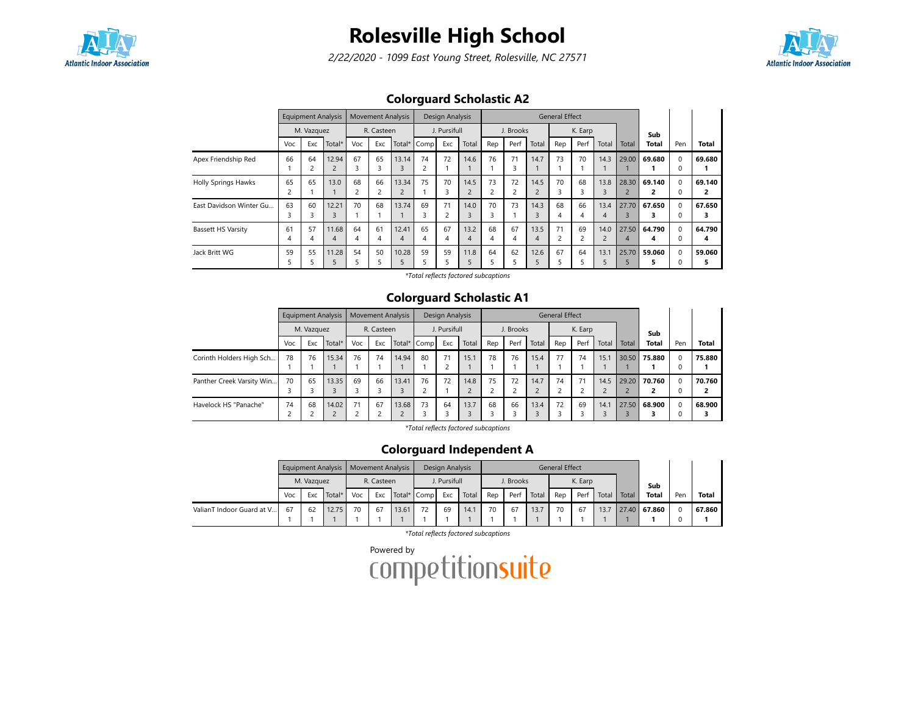

2/22/2020 - 1099 East Young Street, Rolesville, NC 27571



### Colorguard Scholastic A2

|                            |         | <b>Equipment Analysis</b> |                         |         | <b>Movement Analysis</b> |                         |             | Design Analysis |                        |                      |                               |                        | <b>General Effect</b> |         |                        |                         |              |                      |              |
|----------------------------|---------|---------------------------|-------------------------|---------|--------------------------|-------------------------|-------------|-----------------|------------------------|----------------------|-------------------------------|------------------------|-----------------------|---------|------------------------|-------------------------|--------------|----------------------|--------------|
|                            |         | M. Vazquez                |                         |         | R. Casteen               |                         |             | J. Pursifull    |                        |                      | J. Brooks                     |                        |                       | K. Earp |                        |                         | Sub          |                      |              |
|                            | Voc     | Exc                       | Total*                  | Voc     | Exc                      |                         | Total* Comp | Exc             | Total                  | Rep                  | Perf                          | Total                  | Rep                   | Perf    | Total                  | Total                   | <b>Total</b> | Pen                  | Total        |
| Apex Friendship Red        | 66      | 64<br>2                   | 12.94<br>$\overline{2}$ | 67<br>3 | 65<br>3                  | 13.14<br>3              | 74          | 72              | 14.6                   | 76                   | 71<br>3                       | 14.7                   | 73                    | 70      | 14.3                   | 29.00                   | 69.680       | $\Omega$<br>0        | 69.680       |
| <b>Holly Springs Hawks</b> | 65      | 65                        | 13.0                    | 68<br>2 | 66<br>$\overline{2}$     | 13.34<br>$\overline{2}$ | 75          | 70<br>3         | 14.5<br>$\overline{2}$ | 73<br>$\overline{c}$ | 72<br>$\overline{\mathbf{c}}$ | 14.5                   | 70                    | 68<br>3 | 13.8<br>3              | 28.30<br>$\overline{2}$ | 69.140       | $\Omega$<br>0        | 69.140<br>2  |
| East Davidson Winter Gu    | 63      | 60<br>3                   | 12.21<br>3              | 70      | 68                       | 13.74                   | 69          | 71              | 14.0                   | 70<br>3              | 73                            | 14.3<br>$\overline{3}$ | 68<br>4               | 66      | 13.4<br>4              | 27.70                   | 67.650       | $\Omega$<br>0        | 67.650       |
| <b>Bassett HS Varsity</b>  | 61<br>4 | 57<br>4                   | 11.68<br>4              | 64<br>4 | 61<br>4                  | 12.41<br>4              | 65<br>4     | 67<br>4         | 13.2<br>4              | 68<br>4              | 67<br>4                       | 13.5<br>$\overline{4}$ | 71                    | 69      | 14.0<br>$\overline{2}$ | 27.50<br>4              | 64.790<br>4  | $\Omega$<br>$\Omega$ | 64.790<br>4  |
| Jack Britt WG              | 59      | 55                        | 11.28<br>5              | 54      | 50<br>5                  | 10.28                   | 59          | 59              | 11.8                   | 64                   | 62<br>5                       | 12.6                   | 67                    | 64      | 13.1<br>5              | 25.70                   | 59.060       | $\Omega$<br>0        | 59.060<br>5. |

\*Total reflects factored subcaptions

#### Colorguard Scholastic A1

|                           |     |            | Equipment Analysis |     | <b>Movement Analysis</b> |       |             | Design Analysis                |       |     |           |       | <b>General Effect</b> |         |                        |       |              |          |              |
|---------------------------|-----|------------|--------------------|-----|--------------------------|-------|-------------|--------------------------------|-------|-----|-----------|-------|-----------------------|---------|------------------------|-------|--------------|----------|--------------|
|                           |     | M. Vazquez |                    |     | R. Casteen               |       |             | J. Pursifull                   |       |     | J. Brooks |       |                       | K. Earp |                        |       | Sub          |          |              |
|                           | Voc | Exc        | Total*             | Voc | Exc                      |       | Total* Comp | Exc                            | Total | Rep | Perf      | Total | Rep                   | Perf    | Total                  | Total | <b>Total</b> | Pen      | <b>Total</b> |
| Corinth Holders High Sch  | 78  | 76         | 15.34              | 76  | 74                       | 14.94 | 80          | 71<br>$\overline{\phantom{0}}$ | 15.1  | 78  | 76        | 15.4  | 77                    | 74      | 15.1                   | 30.50 | 75.880       | $\Omega$ | 75.880       |
| Panther Creek Varsity Win | 70  | 65         | 13.35<br>3         | 69  | 66<br>3                  | 13.41 | 76          | 72                             | 14.8  | 75  | 72        | 14.7  | 74                    | 71      | 14.5<br>$\overline{2}$ | 29.20 | 70.760       | $\Omega$ | 70.760<br>2  |
| Havelock HS "Panache"     | 74  | 68         | 14.02              | 71  | 67<br>∍                  | 13.68 | 73          | 64                             | 13.7  | 68  | 66        | 13.4  | 72                    | 69      | 14.1                   | 27.50 | 68.900       |          | 68.900<br>,  |

\*Total reflects factored subcaptions

### Colorguard Independent A

|                           |     |            | <b>Equipment Analysis</b> |     | Movement Analysis |       |             | Design Analysis |       |     |           |       | General Effect |         |       |       |              |     |              |
|---------------------------|-----|------------|---------------------------|-----|-------------------|-------|-------------|-----------------|-------|-----|-----------|-------|----------------|---------|-------|-------|--------------|-----|--------------|
|                           |     | M. Vazquez |                           |     | R. Casteen        |       |             | J. Pursifull    |       |     | J. Brooks |       |                | K. Earp |       |       | Sub          |     |              |
|                           | Voc | Exc        | Total*                    | Voc | Exc               |       | Total* Comp | Exc             | Total | Rep | Perf      | Total | Rep            | Perf    | Total | Total | <b>Total</b> | Pen | <b>Total</b> |
| ValianT Indoor Guard at V | 67  | 62         | 12.75                     | 70  | 67                | 13.61 |             | 69              | 14.1  | 70  | 67        | 13.7  | 70             | 67      | 13.7  |       | 27.40 67.860 |     | 67.860       |
|                           |     |            |                           |     |                   |       |             |                 |       |     |           |       |                |         |       |       |              |     |              |

\*Total reflects factored subcaptions

Powered by<br>COMPLetitionsuite